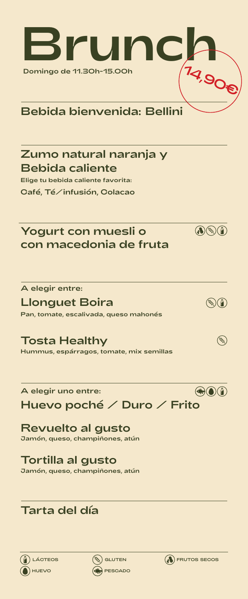

# Bebida bienvenida: Bellini

## Zumo natural naranja y Bebida caliente

Elige tu bebida caliente favorita: Café, Té/infusión, Colacao

## Yogurt con muesli o con macedonia de fruta

A elegir entre:

#### Llonguet Boira

Pan, tomate, escalivada, queso mahonés

## Tosta Healthy

Hummus, espárragos, tomate, mix semillas

A elegir uno entre:

Huevo poché / Duro / Frito

# Revuelto al gusto

Jamón, queso, champiñones, atún

#### Tortilla al gusto

Jamón, queso, champiñones, atún

# Tarta del día







 $\bigcircled{(\bullet)}$ 



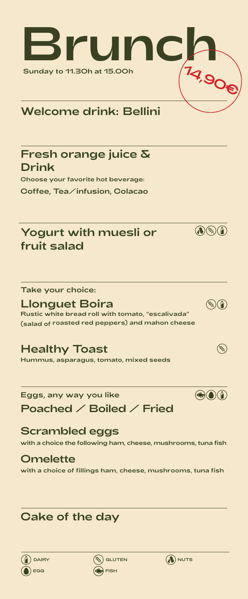

## Welcome drink: Bellini

#### Fresh orange juice & Drink

Choose your favorite hot beverage: Coffee, Tea/infusion, Colacao

## Yogurt with muesli or fruit salad



#### Llonguet Boira

Rustic white bread roll with tomato, "escalivada" (salad of roasted red peppers) and mahon cheese

### Healthy Toast

Hummus, asparagus, tomato, mixed seeds

## Eggs, any way you like Poached / Boiled / Fried

#### Scrambled eggs

with a choice the following ham, cheese, mushrooms, tuna fish

#### **Omelette** with a choice of fillings ham, cheese, mushrooms, tuna fish

# Cake of the day







 $\bigcircled{(\bullet)}$